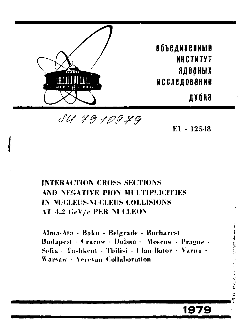

84 79 109 79

 $E1 - 12548$ 

一、全国国家

1979

# **INTERACTION CROSS SECTIONS** AND NEGATIVE PION MILLTIPLICITIES IN NUCLEUS-NUCLEUS COLLISIONS AT 4.2 GeV/e PER NUCLEON

Alma-Ata - Baku - Belgrade - Bucharest -Budapest - Cracow - Dubna - Moscow - Prague -Sofia - Tashkent - Tbilisi - Ulan-Bator - Varna -Warsaw - Yerevan Collaboration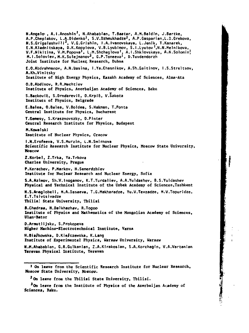**N.Angelo , A.I.Anoshin , N.Ahabablan, T.Baatar, A.M.Baldin, J.Bartke, A.P.Cheplakov, L.A.Didenko', S.V.Dzhmukhadze2, A.P.Gasparian.L.D.Grekova, N.S.Grigalashvili2, V.G.Grishin, I.A.Ivanovskaya, L.Jenlk, T.Kanarek, E.N.Kladnitskaya, D.K.Kopylova, V.B.Lyubimov, S.I.Lyutov '.N.N.Melnikova, V.F.Nikitina, V.H.Popova', L.M.Shcheglova', A.I.Shklovskaya, A.N.Solominj M. I .Soloviev, M.K.Sulejmanov3, G.P.Toneeva', D.Tuvdendorzh Joint Institute for Nuclear; Research, Dubna E.O.Abdrahmanov, A.N.Hasina, I.Ya.Chasnikov, A.Sh.Gaitinov, I .S.Streltsov, A.Kh.Vinitsky Institute of High Energy Physics, Kazakh Academy of Sciences, Alma-Ata O.B.Abdinov, R.R.Mechtiev Institute of Physics, Azerbaijan Academy of Sciences, Baku S.Backovic, S.Drndarevic, O.Krpic, V.Sakota Institute of Physics, Belgrade E.Balea, O.Balea, V.Boldea, S.Hakman, T.Ponta Central Institute for Physics, Bucharest T.Gemesy, S.Krasznovszky, D.Pinter Central Research Institute for Physics, Budapest M.Kowalski Institute of Nuclear Physics, Cracow I.N.Erofeeva, V.S.Murzin, L.N.Smirnova Scientific Research Institute for Nuclear Physics, Moscow State University, Moscow Z.Korbet, Z.Trka, Ya.Trkova Charles University, Prague P.Kerachev, P.Markov, H.Semerdzhfev Institute for Nuclear Research and Nuclear Energy, Sofia S.A.Azimov, Sh.V.Inogamov, K.T.Turdaliev, A.A.Yuldashev, B.S.Yuldashev Physical and Technical Institute of the Uzbek Academy of Sciences,Tashkent N.S.Ariaglobeli, H.A.Dasaeva, T.G.Hakharadze, Yu.V.Tevzadze, M.V.Topuridze, E.T.Tslvtsivadze Tbilisi State University, Tbilisi S.Chadraa, N.Dalkhazhav, R.Togoo Institute of Physics and Mathematics of the Mongolian Academy of Sciences, Ulan-Bator O.ArmutlIjsky, S.Prokopeva Higher Machino-Electrotechnical Institute, Varna**  H.Bia/kowska, D.Kie/czewska, K.Lang **Institute of Experimental Physics, Warsaw University, Warsaw N.M.Ahababian, G.R.Gulkanian, Z.A.Kirakoslan, S.A.Korchagin, V.A.Vartanian Yerevan Physical Institute, Yerevan** 

**MARK STATE** 

**<sup>•</sup> On leave from the Scientific Research Institute for Nuclear Research, Moscow State University, Moscow.** 

**<sup>J</sup> 0 n leave from the Tbilisi State University, Tbilisi.** 

**<sup>J</sup> 0n leave from the Institute of Physics of the Azerbaijan Academy of Sciences, Baku.**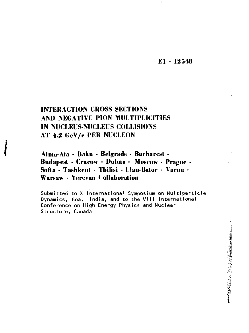## **El - 12548**

**地方的 地方的复数 地方的 医中性** 

## **INTERACTION CROSS SECTIONS AND NEGATIVE PION MULTIPLICITIES IN NUCLEUS-NUCLEUS COLLISIONS AT 4.2 GeV/e PER NUCLEON**

**Alma-Ata - Baku - Belgrade - Bucharest - Budapest - Oarow - Dubna - Moscow - Prague - Sofia - Tashkent - Tbilisi - Ulan-Bator - Varna - Warsaw - Yerevan Collaboration** 

**Submitted to X International Symposium on Multiparticle Dynamics, Goa, India, and to the VIII International Conference on High Energy Physics and Nuclear Structure, Canada**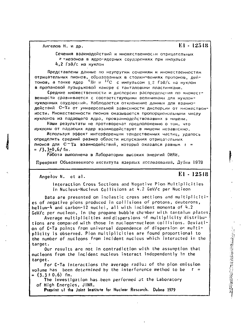Ангелов Н. и др.

E1 - 12548

Сечения взаимодействий и множественности отрицательных п-мезонов в ядро-ядерных соударениях при импульсе 4.2 ГэВ/с на нуклон

Представлены данные по неупругим сечениям и множественностям отрицательных пионов, образованных в столкновениях протонов, дей-<br>тонов, а также ядер <sup>Ч</sup>Не и <sup>12</sup>С с импульсом 1,2 ГэВ/с на нуклон в пропановой пузырьковой камере с танталовыми пластинками.

Средние множественности и дисперсии распределения по множественности сравниваются с соответствующими величинами для нуклоннуклонных соударений. Наблюдается отклонение данных для взаимодействий С-Та от универсальной зависимости дисперсии от множественности. Множественности пионов оказываются пропорциональными числу нуклонов из падающего ядра, провзаимодействовавших в мишени.

Наши результаты не противоречат предположению о том, что нуклоны от падающих ядер взаимодействуют в мишени независимо.

Используя эффект интерференции тождественных частиц, удалось определить средний размер области испускания отрицательных лионов для С-Та взаимодействий, который оказался равным r =  $=$  /3.3+0.6/ fm.

Работа выполнена в Лаборатории высоких энергий ОИЯИ.

Препринг Объединенного института ядерных исследований. Дубна 1979

Angelov N. et al.

## $E1 - 125.18$

→ 「大学のことをのかるのです」

Interaction Cross Sections and Negative Pion Multiplicities in Nucleus-Nucleus Collisions at 4.2 GeV/c per Nucleon

Data are presented on inelastic cross sections and multiplicities of negative pions produced in collisions of protons, deuterons, helium-4 and carbon-12 nuclei, all with incident momenta of 4.2 GeV/c per nucleon, in the propane bubble chamber with tantalum plates.

Average multiplicities and dispersions of multiplicity distributions are compared with those in nucleon-nucleon collisions. Deviation of C-Ta points from universal dependence of dispersion on multiplicity is observed. Pion multiplicities are found proportional to the number of nucleons from incident nucleus which interacted in the target.

Our results are not in contradiction with the assumption that nucleons from the incident nucleus interact independently in the target.

For C-Ta interactions the average radius of the pion emission volume has been determined by the interference method to be  $r =$  $=$  (3.3 ± 0.6) fm.

The investigation has been performed at the Laboratory of High Energies, JINR.

Preprint of the Joint Institute for Nuclear Rescarch. Dubna 1979.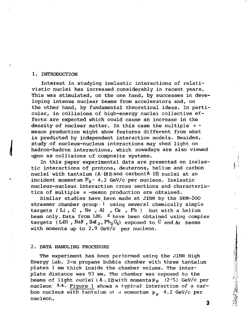#### 1. INTRODUCTION

Interest in studying inelastic interactions of relativistic nuclei has increased considerably in recent years. This was stimulated, on the one hand, by successes in developing intense nuclear beams from accelerators and, on the other hand, by fundamental theoretical ideas. In particular, in collisions of high-energy nuclei collective effects are expected which could cause an increase in the density of nuclear matter. In this case the multiple *л* meson production might show features different from what is predicted by independent interaction models. Besides, study of nucleus-nucleus interactions may shed light on hadron-hadron interactions, which nowadays are also viewed upon as collisions of composite systems.

In this paper experimental data are presented on inelastic interactions of protons, deuterons, helium and carbon nuclei with tantalum  $(A \cdot 181)$  and carbon $(A \cdot 12)$  nuclei at an incident momentum  $P_0 = 4.2$  GeV/c per nucleon. Inelastic nucleus-nucleus interaction cross sections and characteristics of multiple *л* -meson production are obtained.

Similar studies have been made at JINR by the SKM-200 streamer chamber group  $1$  using several chemically simple targets (Li,  $C$ ,  $Ne$ ,  $Al$ ,  $Cu$ ,  $Pb$ ) but with a helium beam only. Data from LBL  $\frac{2}{3}$  have been obtained using complex targets (Lill , NaF , Bal<sub>2</sub>,  $Ph_3O_4$ ) exposed to C and A beams with momenta up to 2.9 GeV/c per nucleon.

#### 2. DATA HANDLING PROCEDURE

The experiment has been performed using the JINR High Energy Lab. 2-m propane bubble chamber with three tantalum plates 1 mm thick inside the chamber volume. The interplate distance was 93 mm. The chamber was exposed to the beams of light nuclei (A.12)with momenta  $p_0$  (2<sup> $\div$ 5)</sup> GeV/c per nucleon  $3.4$ . Figure 1 shows a typical interaction of a carbon nucleus with tantalum at a momentum  $p_a$  4.2 GeV/c per nucleon.

3

福建のことに、これに、「大阪の大阪のことに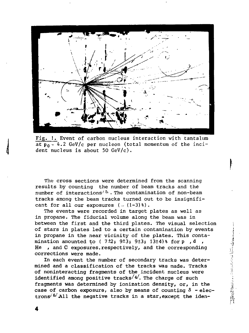

Fig. 1. Event of carbon nucleus interaction with tantalum at  $p_0 = 4.2$  GeV/c per nucleon (total momentum of the incident nucleus is about 50 GeV/c).

The cross sections were determined from the scanning results by counting the number of beam tracks and the number of interactions<sup> $/5$ </sup>. The contamination of non-beam tracks among the beam tracks turned out to be insignificant for all our exposures  $(. (1-3)*).$ 

The events were recorded in target plates as well as in propane. The fiducial volume along the beam was in between the first and the third plates. The visual selection of stars in plates led to a certain contamination by events in propane in the near vicinity of the plates. This contamination amounted to (  $7\pm2$ ;  $9\pm3$ ;  $9\pm3$ ;  $13\pm4$ )% for p, d, He , and С exposures,respectively, and the corresponding corrections were made.

In each event the number of secondary tracks was determined and a classification of the tracks was made. Tracks of noninteracting fragments of the incident nucleus were identified among positive tracks/ $4/$ . The charge of such fragments was determined by ionization density, or, in the case of carbon exposure, also by means of counting  $\delta$  - electrons<sup> $6/6/$ </sup>All the negative tracks in a star, except the iden日本のことには、このように、このようには、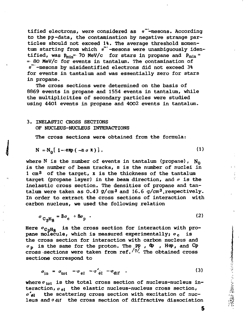tified electrons, were considered as  $\pi^-$ -mesons. According to the pp-data, the contamination by negative strange particles should not exceed 1%. The average threshold momentum starting from which *n"'* -mesons were unambiguously identified, was  $\mathtt{p}_{\min}$ = 70 MeV/c for stars in propane and  $\mathtt{p}_{\min}$ : =• 80 MeV/c for events in tantalum. The contamination of *n~'*-mesons by misidentified electrons did not exceed 3% for events in tantalum and was essentially zero for stars in propane.

The cross sections were determined on the basis of 8869 events in propane and 1554 events in tantalum, while the multiplicities of secondary particles were studied using 4401 events in propane and 4002 events in tantalum.

## 3. INELASTIC CROSS SECTIONS OF NUCLEUS-NUCLEUS INTERACTIONS

The cross sections were obtained from the formula:

$$
N = N_0 \left[ 1 - \exp \left( -n \sigma x \right) \right], \tag{1}
$$

where N is the number of events in tantalum (propane),  $N_0$ is the number of beam tracks, n is the number of nuclei in 1 cm3 of the target, x is the thickness of the tantalum target (propane layer) in the beam direction, and *a* is the inelastic cross section. The densities of propane and tantalum were taken as 0.43  $g/cm^3$  and 16.6  $g/cm^3$ , respectively. In order to extract the cross sections of interaction with carbon nucleus, we used the following relation

 $\sigma$ <sub>c<sub>3</sub>H<sub>8</sub> =  $\sigma$ <sub>c</sub> +  $\sigma$ <sub>p</sub> ·</sub> en de la construcción de la construcción de la construcción de la construcción de la construcción de la constr

Here  ${\sigma}_{\rm C_3H_8}^{}$  is the cross section for interaction with propane molecule, which is measured experimentally;  $\sigma_c$  is the cross section for interaction with carbon nucleus and  $\sigma$ <sub>p</sub> is the same for the proton. The  $\mathsf{pp}$  ,  $\mathsf{dp}$  , Hep, and  $\mathsf{Cp}$ cross ^sections were taken from ref. *'<sup>7</sup> '-* The obtained cross sections correspond to

$$
\sigma_{\rm in} = \sigma_{\rm tot} - \sigma_{\rm el} - \sigma_{\rm el}' - \sigma_{\rm dif} \qquad (3)
$$

where  $\sigma_{\rm tot}$  is the total cross section of nucleus-nucleus interaction,  $\sigma_{el}$  the elastic nucleus-nucleus cross section, *o'ti* the scattering cross section with excitation of nucleus and  $\sigma$  dif the cross section of diffractive dissociation

5

重大のある くちのかい かんかい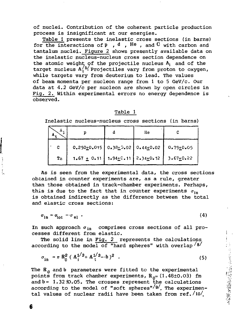of nuclei. Contribution of the coherent particle production process is insignificant at our energies.

Table 1 presents the inelastic cross sections (in barns) for the interactions of  $p$ , d, He, and C with carbon and tantalum nuclei. Figure 2 shows presently available data on the inelastic nucleus-nucleus cross section dependence on the atomic weight of the projectile nucleus  $A_i$  and of the target nucleus  $A_1^{15}$ . Projectiles vary from proton to oxygen, while targets vary from deuterium to lead. The values of beam momenta per nucleon range from 1 to 5 GeV/c. Our data at 4.2 GeV/c per nucleon are shown by open circles in Fig. 2. Within experimental errors no energy dependence is observed.

#### Table 1

Inelastic nucleus-nucleus cross sections (in barns)

| Λ. |                                                   | He |               |
|----|---------------------------------------------------|----|---------------|
| с  | $0.250 \pm 0.015$ 0.38 $\pm 0.02$ 0.44 $\pm 0.02$ |    | $0.79 + 0.05$ |
| Τa | $1.67 \pm 0.11$ $1.94 \pm 0.11$ $2.34 \pm 0.12$   |    | $3.67 + 0.22$ |

As is seen from the experimental data, the cross sections obtained in counter experiments are, as a rule, greater than those obtained in track-chamber experiments. Perhaps, this is due to the fact that in counter experiments  $\sigma_{in}$ is obtained indirectly as the difference between the total and elastic cross sections:

 $\sigma_{\text{in}} = \sigma_{\text{tot}} - \sigma_{\text{el}}$  (4)

In such approach  $\sigma_{in}$  comprises cross sections of all processes different from elastic.

The solid line in Fig. 2 represents the calculations according to the model of "hard spheres" with overlap  $8/$ 

$$
\sigma_{\rm in} = \pi R_0^2 (A_1^{1/3} + A_1^{1/3} - b)^2 \quad . \tag{5}
$$

The  $R_{\Omega}$  and b parameters were fitted to the experimental points from track chamber experiments,  $R_{0}$ = (1.48+0.03) fm and  $b = 1.32 \text{ to.05}$ . The crosses represent the calculations according to the model of "soft spheres"/9/. The experimental values of nuclear radii have been taken from ref./io/.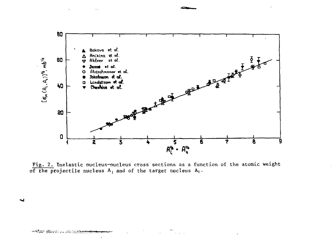

Fig. 2. Inelastic nucleus-nucleus cross sections as a function of the atomic weight of the projectile nucleus  $A_i$  and of the target nucleus  $A_t$ .

ب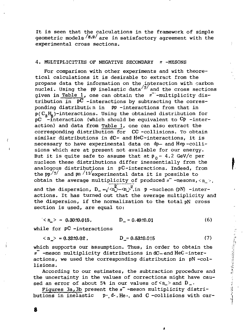It is seen that the calculations in the framework of simple geometric models  $\sqrt{8.9}/$  are in satisfactory agreement with the experimental cross sections.

#### 4. MULTIPLICITIES OF NEGATIVE SECONDARY *n* -MESONS

For comparison with other experiments and with theoretical calculations it is desirable to extract from the propane data the information on the interaction with carbon nuclei. Using the PP inelastic data<sup>/7/</sup> and the cross sections given in Table 1, one can obtain the *n~* -multiplicity distribution in  $pC$  -interactions by subtracting the corresponding distribution in PP -interactions from that in  $p(C_9H_0)$ -interactions. Using the obtained distribution for pC  $-$ interaction (which should be equivalent to  $C_p$  -interaction) and data from Table 1, one can also extract the corresponding distribution for CC -collisions. To obtain similar distributions in dC- and HeC-interactions, it is necessary to have experimental data on dp- and Hep-collisions which are at present not available for our energy. But it is quite safe to assume that at  $p_0 = 4.2$  GeV/c per nucleon these distributions differ inessentially from the analogous distributions in pC-interactions. Indeed, from the  $pp^{7/7/2}$  and  $pn^{11/2}$ experimental data it is possible to obtain the average multiplicity of produced  $n^-$  -mesons,  $\langle n \rangle$ , and the dispersion,  $D = \sqrt{\langle n \rangle^2} \sim n^2$ , in p -nucleon (pN) -interactions. It has turned out that the average multiplicity and the dispersion, if the normalization to the total pN cross section is used, are equal to:

 $\langle n_{\perp}\rangle = 0.30\pm0.015$ ,  $D_{\perp} = 0.49\pm0.01$  (6)

while for  $pC$  -interactions

$$
\langle n \rangle = 0.33 \pm 0.02 \,, \qquad D = 0.53 \pm 0.015 \tag{7}
$$

which supports our assumption. Thus, in order to obtain the *n~* -meson multiplicity distributions in dC-andHeC-interactions, we used the corresponding distribution in pN -collisions.

According to our estimates, the subtraction procedure and the uncertainty in the values of corrections might have caused an error of about 5% in our values of  $\langle n_{-}\rangle$  and  $D_{-}$ .

Figures 3a,3b present the  $\pi$ <sup>-</sup> -meson multiplicity distributions in inelastic p-, d-, He-, and C-collisions with car-

i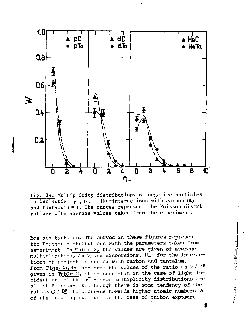

Fig. За. Multiplicity distributions of negative particles in inelastic  $p-,d-,$  He-interactions with carbon  $(A)$ and tantalum ( $\bullet$ ). The curves represent the Poisson distributions with average values taken from the experiment.

bon and tantalum. The curves in these figures represent the Poisson distributions with the parameters taken from experiment. In Table 2, the values are given of average multiplicities,  $\langle n_{\rightarrow} \rangle$ , and dispersions,  $D_{-}$ , for the interactions of projectile nuclei with carbon and tantalum. From Figs. 3a, 3b and from the values of the ratio  $\langle n_{\perp}\rangle / D_{\perp}^2$ given in Table 2, it is seen that in the case of light incident nuclei the *n~* -meson multiplicity distributions are almost Poisson-like, though there is some tendency of the ratio  $\langle n\!\rangle / D^2$  to decrease towards higher atomic numbers  $A_i$ of the incoming nucleus. In the case of carbon exposure

おくさん こうこうきょう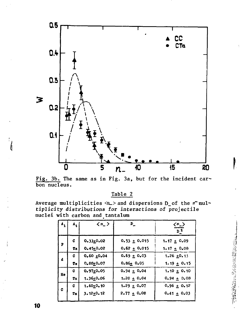

Fig. 3b. The same as in Fig. 3a, but for the incident car-<br>bon nucleus.

Table 2

Average multiplicities  $\langle n_{-}\rangle$  and dispersions D\_of the  $\pi$  multiplicity distributions for interactions of projectile nuclei with carbon and tantalum

| $\mathbf{A}_1$ . | $\mathbf{A}_1$ | $\langle n_{-}\rangle$ | $D_{-}$          | くぃン<br>D <sub>2</sub> |
|------------------|----------------|------------------------|------------------|-----------------------|
| P                | c              | $0.33 + 0.02$          | $0.53 \pm 0.015$ | 1.17 $\pm$ 0.09       |
|                  | Тa             | $0.45 + 0.02$          | $0.62 + 0.015$   | 1.17 $\pm$ 0.08       |
| d                | c              | $0.60 + 0.04$          | $0.69 \pm 0.03$  | $1.26 \pm 0.13$       |
|                  | Tа             | 0.8810.07              | $0.86 + 0.05$    | $1.19 \pm 0.15$       |
| He               | c              | $0.97 + 0.05$          | $0.94 \pm 0.04$  | $1.10 \pm 0.10$       |
|                  | Тв             | $1.36 + 0.06$          | $1.20 + 0.04$    | $0.94 \pm 0.08$       |
| c                | c              | $1.60 + 0.10$          | $1.29 \pm 0.07$  | $0.96 \pm 0.12$       |
|                  | Те             | $3.12 + 0.12$          | $2.77 + 0.08$    | $0.41 \pm 0.03$       |

Talente State of the State of the State of the State of the State of the State of the State of the State of the

10

ŀ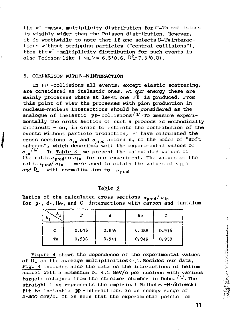the *n~* -meson multiplicity distribution for C-Ta collisions is visibly wider than the Poisson distribution. However, it is worthwhile to note that if one selects C-Tainteractions without stripping particles ("central collisions"), then the  $\bar{r}$  -multiplicity distribution for such events is also Poisson-like ( $\langle n_{-}\rangle = 6.5 \pm 0.6$ ,  $D_{-}^{2} = 7.3 \pm 0.8$ ).

### 5. COMPARISON WITH N-N INTERACTION

In pp -collisions all events, except elastic scattering, are considered as inelastic ones. At qur energy these are mainly processes where at least one  $\pi\bar{0}$  is produced. From this point of view the processes with pion production in nucleus-nucleus interactions should be considered as the analogue of inelastic pp-collisions<sup>/1/</sup>. To measure experimentally the cross section of such a process is methodically difficult - so, in order to estimate the contribution of the **events without particle production,**  $\psi^*$  **have calculated the** cross sections  $\sigma_{in}$  and  $\sigma_{nrad}$  according to the model of "soft spheres", which describes well the experimental values of  $\sigma_{\rm in}$ <sup>15</sup>/ $\sigma$ . In Table 3 we present the calculated values of the ratio  $\sigma_{\text{prod}}$  for our experiment. The values of the ratio  $\sigma_{\text{prod}}/\sigma_{\text{in}}$  were used to obtain the values of < n\_> and D<sub>\_</sub> with normalization to  $\sigma_{\text{mod}}$ .

### Table 3

Ratios of the calculated cross sections  $\sigma_{\text{prod}}/\sigma_{\text{in}}$ for p-, d-, He-, and C-interactions with carbon and tantalum

| Λ, |       |       | He    | c     |
|----|-------|-------|-------|-------|
| c  | 0.816 | 0.859 | 0.888 | 0.916 |
| Ta | 0.936 | 0.941 | 0.949 | 0.958 |

Figure 4 shows the dependence of the experimental values of  $\overline{D}$  on the average multiplicities $\langle n \rangle$ . Besides our data, Fig. 4 includes also the data on the interactions of helium nuclei with a momentum of 4.5 GeV/c per nucleon with various targets obtained from the streamer chamber in Dubna $1/$ . The straight line represents the empirical Malhotra-Wroblewski fit to inelastic pp -interactions in an energy range of 4+400 GeV/c. It is seen that the experimental points for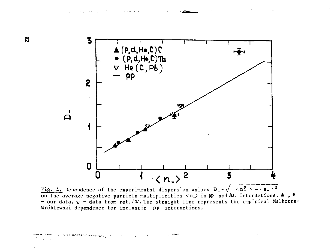

Fig. 4. Dependence of the experimental dispersion values  $D_{-} = \sqrt{\frac{2}{n^2} - (n^2 - 1)^2}$ on the average negative particle multiplicities  $\langle n_{-}\rangle$  in pp and A<sub>I</sub> interactions.  $\blacktriangle$ ,  $\blacktriangleright$ - our data,  $\overline{v}$  - data from ref. /  $\nu$ . The straight line represents the empirical Malhotra-Wroblewski dependence for inelastic pp interactions.

 $\hat{f}_{\text{in}}$  and  $\hat{f}_{\text{in}}$  . The second  $\hat{f}_{\text{in}}$ 

m mantana tina tanggalan kalendar yang dina ma

The control of the supporter of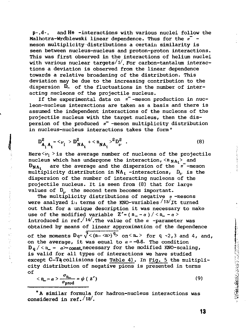p-,d-, and He -interactions with various nuclei follow the Malhotra-Wrdblewski linear dependence. Thus for the *n~*  meson multiplicity distributions a certain similarity is seen between nucleus-nucleus and proton-proton interactions. This was first observed in the interactions of helium nuclei with various nuclear targets/1/. For carbon-tantalum interactions a deviation is observed from the linear dependence towards a relative broadening of the distribution. This deviation may be due to the increasing contribution to the dispersion  $D_{-}$  of the fluctuations in the number of interacting nucleons of the projectile nucleus.

If the experimental data on *n~* -meson production in nucleon-nucleus interactions are taken as a basis and there is assumed the independent interactions of the nucleons of the projectile nucleus with the target nucleus, then the dispersion of the produced *n~* -meson multiplicity distribution in nucleus-nucleus interactions takes the form \*

$$
D_{A_i A_t}^2 = \langle \nu_i \rangle D_{NA_t}^2 + \langle n_{NA_t} \rangle^2 D_{\nu}^2 \quad . \tag{8}
$$

Here $\langle \nu_i \rangle$  is the average number of nucleons of the projectile nucleus which has undergone the interaction,  $\langle n_{NA} \rangle$  and  $D_{NA}$ , are the average and the dispersion of the  $\pi$ <sup>-</sup>-meson multiplicity distribution in NA<sub>t</sub> -interactions,  $D_{\nu}$  is the dispersion of the number of interacting nucleons of the projectile nucleus. It is seen from (8) that for large values of  $D_{n}$ , the second term becomes important.

**My distances** 

The multiplicity distributions of negative *n* -mesons were analyzed in terms of the KNO-variables  $/13/ft$  turned out that for a unique description it was necessary to make use of the modified variable  $Z' = (n_ - a) / (n_ - a)$ introduced in ref.  $14'$ .The value of the  $a$  -parameter was obtained by means of linear approximation of the dependence of the moments  $D_q = \sqrt{(n-\langle n \rangle)^{q}}$  on  $\langle n-\rangle$  for q -2,3 and 4, and, on the average, it was equal to  $a = -0.6$ . The condition  $D_q$  / < n\_ - a>=const, necessary for the modified KNO-scaling, is valid for all types of interactions we have studied except  $C-Tq$  collisions (see Table 4). In Fig. 5 the multiplicity distribution of negative pions is presented in terms of

$$
\langle n - a \rangle \frac{\sigma_{n}}{\sigma_{\text{prod}}} = \psi (z') \tag{9}
$$

\*A similar formula for hadron-nucleus interactions was considered in ref. /18/.

13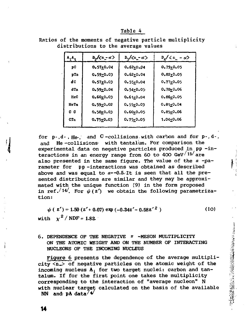| п |  |  |
|---|--|--|
|   |  |  |

| $\mathbf{A}_1$  | $D_p/(n - \alpha)$ | $D_{\alpha}/\langle n - \alpha \rangle$ | $D_{\alpha}/\langle n_{-} - \alpha \rangle$ |
|-----------------|--------------------|-----------------------------------------|---------------------------------------------|
| pC              | $0.57 + 0.04$      | $0.62 + 0.04$                           | $0,79+0.05$                                 |
| pTo             | $0.59 + 0.03$      | $0.62 + 0.04$                           | $0,82 + 0.05$                               |
| dс              | $0.57 + 0.03$      | $0.55 + 0.04$                           | $0.77 + 0.05$                               |
| d <sub>Ta</sub> | $0.59 + 0.04$      | $0.54 + 0.05$                           | 0.78-0.06                                   |
| HeC             | $0.60 + 0.03$      | $0.61 + 0.04$                           | 0.86+0.05                                   |
| HeTa            | $0.59 + 0.02$      | 0.55+0.03                               | $0.81 + 0.04$                               |
| c c             | $0.58 + 0.03$      | 0.60+0.05                               | $0.85 + 0.06$                               |
| <b>CTE</b>      | $0.75 + 0.03$      | $0.75 + 0.05$                           | $1.04 + 0.06$                               |
|                 |                    |                                         |                                             |

Ratios of the moments of negative particle multiplicity distributions to the average values

for  $p-,d-,He,$  and  $C$ -collisions with carbon and for  $p-,d-,$ and He -collisions: with tantalum. For comparison the experimental data on negative particles produced in pp -interactions in an energy range from 60 to 400 GeV $/15/$  are also presented in the same figure. The value of the *a* -parameter for pp -interactions was obtained as described above and was equal to  $a=-0.5$  It is seen that all the presented distributions are similar and they may be approximated with the unique function (9) in the form proposed in ref.<sup>/14</sup>. For  $\psi(z')$  we obtain the following parametrization:

 $\psi$  ( z') = 1.50 (z'+ 0.07) exp (-0.34z' - 0.58z'<sup>2</sup>) (10) with  $\chi^2$  / NDF = 1.82

## 6. DEPENDENCE OF THE NEGATIVE *n* -MESON MULTIPLICITY ON THE ATOMIC WEIGHT AND ON THE NUMBER OF INTERACTING NUCLEONS OF THE INCOMING NUCLEUS

Figure 6 presents the dependence of the average multiplicity  $\langle n_{-}\rangle$  of negative particles on the atomic weight of the incoming nucleus A, for two target nuclei: carbon and tantalum. If for the first point one takes the multiplicity corresponding to the interaction of "average nucleon" N with nuclear target calculated on the basis of the available NN and  $\mathbf{p}$ A data<sup>74</sup>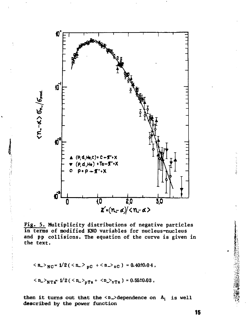

Fig. 5. Multiplicity distributions of negative particles in terms of modified KNO variables for nucleus-nucleus and pp collisions. The equation of the curve is given in the text.

$$
\langle n_{-} \rangle_{NC} = 1/2 \left( \langle n_{-} \rangle_{pC} + \langle n_{-} \rangle_{nC} \right) = 0.40 \pm 0.04,
$$

$$
\langle n_{-} \rangle_{\text{NTa}^{-}} 1/2 \left( \langle n_{-} \rangle_{\text{DTa}} + \langle n_{-} \rangle_{\text{NTa}} \right) = 0.55 \pm 0.03
$$

then it turns out that the  $\langle n_{-}\rangle$  dependence on  $A_i$  is well described by the power function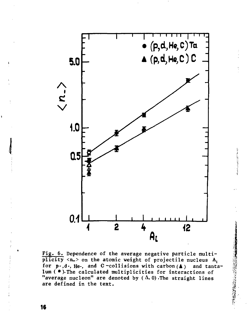

**Fig. 6. Dependence of the average negative particle multiplicity <n\_> on the atomic weight of projectile nucleus A;**  for p-,d-, He-, and C-collisions with carbon (A) and tanta**lum (•). The calculated multiplicities for interactions of "average nucleon" are denoted by ( A. 0) .The straight lines are defined in the text.** 

○ 中華の家族の (2) 3222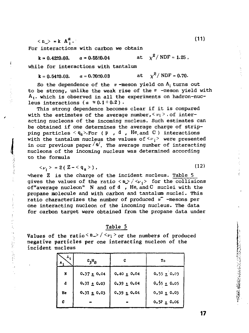$\langle n \rangle = k A_i^a$ . *a* **(11)** 

For interactions with carbon we obtain

 $\chi^z$  / NDF = 1.25,  $k = 0.42\pm0.03, \qquad a = 0.55\pm0.04$ 

while for interactions with tantalum

 $\chi^2$  / NDF = 0.70.  $k = 0.54\pm0.03$ ,  $a = 0.70\pm0.03$  at

So the dependence of the  $\pi$ -meson yield on  $A_i$  turns out to be strong, unlike the weak rise of the *n* -meson yield with  $A_t$ , which is observed in all the experiments on hadron-nucleus interactions ( $a \approx 0.1 \div 0.2$ ).

This strong dependence becomes clear if it is compared with the estimates of the average number,  $\langle v_1 \rangle$ , of interacting nucleons of the incoming nucleus. Such estimates can be obtained if one determines the average charge of stripping particles  $\leq q_s$ >. For (p, d, He, and C) interactions with the tantalum nucleus the values of  $\langle \nu_j \rangle$  were presented in our previous paper<sup>/4</sup>. The average number of interacting nucleons of the incoming nucleus was determined according the formula

 $\langle v_i \rangle = 2(Z - \langle q_{\rm g} \rangle)$ , (12)

where Z is the charge of the incident nucleus. Table 5 gives the values of the ratio  $\langle n \rangle / \langle \nu_i \rangle$  for the collisions of"average nucleon" N and of d , He, and С nuclei with the propane molecule and with carbon and tantalum nuclei. This ratio characterizes the number of produced  $\pi^-$  -mesons per one interacting nucleon of the incoming nucleus. The data for carbon target were obtained from the propane data under

Table 5

Values of the ratio  $\langle n_{\perp} \rangle / \langle \nu_i \rangle$  or the numbers of produced negative particles per one interacting nucleon of the incident nucleus

the set of the settle

| $^h$ t.<br>м, | $c_3H_B$        | с               | Tа              |
|---------------|-----------------|-----------------|-----------------|
| N             | $0.37 \pm 0.04$ | $0.40 \pm 0.04$ | $0.55 \pm 0.03$ |
| d             | $0.37 \pm 0.03$ | $0.39 \pm 0.04$ | $0.55 \pm 0.05$ |
| He            | $0.37 \pm 0.03$ | $0.39 \pm 0.04$ | $0.50 \pm 0.03$ |
| c             |                 |                 | $0.52 \pm 0.06$ |

$$
(11)
$$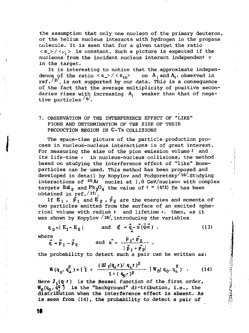the assumption that only one nucleon of the primary deuteron, or the helium nucleus interacts with hydrogen in the propane molecule. It is seen that for a given target the ratio  $\langle n_{\mu} \rangle / \langle \nu_{i} \rangle$  is constant. Such a picture is expected if the nucleons from the incident nucleus interact independent у in the target.

It is interesting to notice that the approximate independence of the ratio  $\langle n_{\rm c} \rangle / \langle n_{\rm ch} \rangle$  on  $A_i$  and  $A_t$ , observed in ref. $\frac{2}{2}$ , is not supported by our data. This is a consequence of the fact that the average multiplicity of positive secondaries rises with increasing A<sub>i</sub> weaker than that of negative particles  $/4/$ .

## 7. OBSERVATION OF THE INTERFERENCE EFFECT OF "LIKE" PIONS AND DETERMINATION OF THE SIZE OF THEIR PRODUCTION REGION IN C-Ta COLLISIONS

The space-time picture of the particle production process in nucleus-nucleus interactions is of great interest. For measuring the size of the pion emission volume I and its life-time *t* in nucleus-nucleus collisions, the method based on studying the interference effect of "like" Boseparticles can be used. This method has been proposed and developed in detail by Kopylov and Podgoretsky $/16/$ . Studying interactions of  $40 \text{Ar}$  nuclei at 1.8 GeV/nucleon with complex targets  $BaI_2$  and  $Pb_3O_4$  the value of  $r \approx (4\pm 1)$  fm has been obtained in ref./l7/.

 $\label{eq:3.1} \frac{1}{2} \int_{0}^{1} \frac{d\mathbf{r}}{d\mathbf{r}} \left[ \frac{d\mathbf{r}}{d\mathbf{r}} \right] \frac{d\mathbf{r}}{d\mathbf{r}} \left[ \frac{d\mathbf{r}}{d\mathbf{r}} \right] \frac{d\mathbf{r}}{d\mathbf{r}} \left[ \frac{d\mathbf{r}}{d\mathbf{r}} \right] \frac{d\mathbf{r}}{d\mathbf{r}} \left[ \frac{d\mathbf{r}}{d\mathbf{r}} \right] \frac{d\mathbf{r}}{d\mathbf{r}} \left[ \frac{d\mathbf$ 

2010年12月12日から、3月12日前の日は約1日

If  $E_1$ ,  $\vec{p}_1$  and  $E_2$ ,  $\vec{p}_2$  are the energies and momenta of two particles emitted from the surface of an excited spherical volume with radius  $r$  and lifetime  $r$ , then, as it was shown by Kopylov  $/18/$ , introducing the variables

 $q_0 = | E_1 - E_2 |$  and  $\vec{q} = q - n (q \cdot n)$ , (13) where  $\overrightarrow{n} + \overrightarrow{n}$ 

 $q = p_1 - p_2$  and  $n = -\frac{1}{2} - \frac{2}{3}$ .  $|P_1 + P_2|$ 

the probability to detect such a pair can be written as:

$$
W(q_0, q_\perp^2) = \left[ \frac{1}{1} + \frac{(2J_1(q_1 r)/q_1 r)^2}{1 + (q_0 r)^2} \right] W_0(q_0, q_\perp^2) \quad . \tag{14}
$$

Here  $J_1(q \mid r)$  is the Bessel function of the first order,  $W_0(q_0, \dot{q}^2)$  is the "background" distribution, i.e., the **distribution when the interference effect is absent. As is seen from (14), the probability to detect a pair of**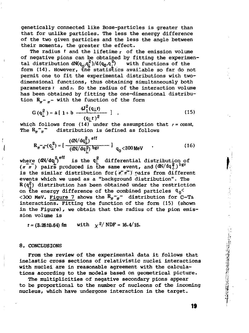genetically connected like Bose-particles is greater than that for unlike particles. The less the energy difference of the two given particles and the less the angle between their momenta, the greater the effect.

The radius г and the lifetime *т* of the emission volume of negative pions can be obtained by fitting the experimental distribution  $dN(q^{\alpha}_{0},q^{\alpha}_{1})/d(q^{\alpha}_{0},q^{\alpha}_{1})$  with functions of the form (14). However, the statistics available so far do not permit one to fit the experimental distributions with twodimensional functions, thus obtaining simultaneously both parameters  $r$  and  $r$ . So the radius of the interaction volume has been obtained by fitting the one-dimensional distribution  $R_{\pi^- \pi^-}$  with the function of the form

$$
G(q_{\perp}^{2}) = a [1 + b \frac{4J_{1}^{2}(q_{\perp}r)}{(q_{\perp}r)^{2}}] , \qquad (15)
$$

which follows from (14) under the assumption that  $r = const$ , The  $R_n \tilde{z}_n$  distribution is defined as follows

$$
R_{\pi^{-}\pi^{-}}(q_{\perp}^{2}) = \left[\frac{(dN/dq_{\perp}^{2})^{eff}}{(dN/dq_{\perp}^{2})^{bg}}\right]_{q_{0} < 300 \text{ MeV}}
$$
 (16)

where  $(dN/dq_1^2)^{eff}$  is the  $q_1^2$  differential distribution of  $(\overline{n} \ \overline{n})$  pairs produced in the same event, and  $(dN/dq<sup>2</sup>)$  bgr is the similar distribution for ( $\pi^-\pi^-$ ) pairs from different events which we used as a "background distribution". The  $R(q_1^2)$  distribution has been obtained under the restriction on the energy difference of the combined particles  $q_0$ <300 MeV. Figure 7 shows the  $R_{\pi^-\pi^-}$  distribution for C-Ta interactions. Fitting the function of the form (15) (shown in the Figure), we obtain that the radius of the pion emission volume is

 $r = (3.26 \pm 0.64)$  fm with  $\chi^2/NDF = 16.4/15$ .

#### 8. CONCLUSIONS

From the review of the experimental data it follows that inelastic cross sections of relativistic nuclei interactions with nuclei are in reasonable agreement with the calculations according to the models based on geometrical picture.

The multiplicities of negative secondary pions appear to be proportional to the number of nucleons of the incoming nucleus, which have undergone interaction in the target.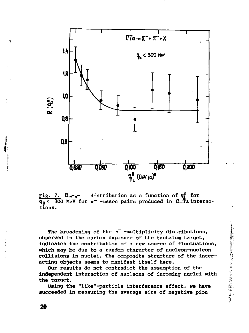

**Fig. 7.**  $R_{\eta-\eta}$  distribution as a function of  $q_i^2$  for  $\overline{q_0}$   $\leq$  300 MeV for  $\pi^-$  -meson pairs produced in C-Ta interac**tions.** 

**The broadening of the** *iT* **-multiplicity distributions, observed in the carbon exposure of the tantalum target, indicates the contribution of a new source of fluctuations, which may be due to a random character of nucleon-nucleon collisions in nuclei. The composite structure of the interacting objects seems to manifest itself here.** 

**Our results do not contradict the assumption of the independent interaction of nucleons of incoming nuclei with the target.** 

「大学の大きななどのことに、この人の人のの

**Using the "llke"-particle interference effect, we have succeeded in measuring the average size of negative pion** 

20

 $\overline{7}$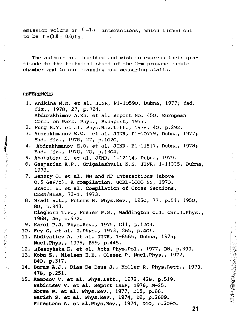emission volume in C-Ta interactions, which turned out to be  $r = (3.3 \pm 0.6)$  fm.

The authors are indebted and wish to express their gratitude to the technical staff of the 2-m propane bubble chamber and to our scanning and measuring staffs.

#### REFERENCES

**WELL STATE READER** 

医异常的 医前缀

○ (の)認定を与える アルール

- 1. Anikina M.N. et al. JINR, P1-10590, Dubna, 1977; Yad. fiz., 1978, 27, p.724. Abdurakhimov A.Kh. et al. Report No. 450. European Conf. on Part. Phys., Budapest, 1977.
- 2. Fung S.Y. et al. Phys.Rev.Lett., 1978, 40, p.292.
- 3. Abdrakhmanov E.O. et al. JINR, Pl-10779, Dubna, 1977} Yad. fiz., 1978, 27, p.1020.
- 4. Abdrakhmanov E.O. et al. JINR, El-11517, Dubna, 1978; Yad. fiz., 1978, 28, p.1304.
- 5. Ahababian N. et al. JINR, 1-12114, Dubna, 1979.
- 6. Gasparian A.P., Grigalashvili N.S. JINR, 1-11335, Dubna, 1978.
- 7. Benary O. et al. NN and ND Interactions (above 0.5 GeV/c). A compilation. UCRL-IOOO NN, 1970. Bracci E. et al. Compilation of Cross Sections, CERN/HERA, 73-1, 1973.
- 8. Bradt H.L., Peters B. Phys.Rev., 1950, 77, p.54; 1950, 80, p.943. Cleghorn T.F., Freier P.S., Waddington C.J. Can.J.Phys., 1968, 46, p.572.
- 9. Karol P.J. Phys.Rev., 1975, Cll, p.1203.
- . Fey G. et al. Z.Phys., 1973, 265, p.401.
- 11. Abdivaliev A. et al. JINR, 1-8565, Dubna, 1975; Nucl.Phys., 1975, B99, p.445.
- 12. BXeszynska E. et al. Acta Phys.Pol., 1977, B8, p.393.
- 13. **Koba** Z., Nielsen H.B., Olesen P. Nucl.Phys., 1972, **B40, p.**317.
- **14. Buras A.J.,** Dias **De** Deus J., Moller R. Phys.Lett., 1973, **47B, p.**251.
- **15. Ammosov V. et** al. Phys.Lett., 1972, 42B, p.519. **Babintsev V. et** al. Report IHEP, 1976, M-25. **Morse W. et al. Phys.Rev., 1977, D15, p.66. Barish S. et al. Phys.Rev.**, 1974, D9, p.2689. **Firestone A. et al.Phys.Rev.**, 1974, **DlO,** p.2080.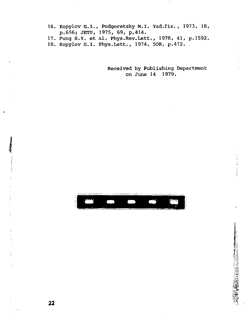- 16. Коруlov G.I., Podgoretsky M.I. Yad.fiz. , 1973, 18, p.656} JETP, 1975, 69, p.414.
- 17. Fung S.y. et al. Phys.Rev.Lett., 1978, 41, p.1592.
- 18. Kopylov G.I. Phys.Lett., 1974, 50B, p.472.

Received by Publishing Department on June 14 1979.



 $\mathbf{I}$ 

 $\sim 10^{-1}$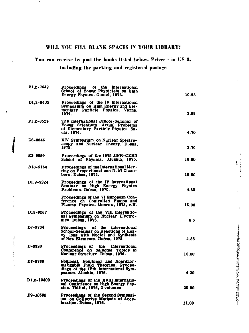## **WILL YOU FILL BLANK SPACES IN YOUR LIBRARY?**

**You can receive by post the books listed below. Prices - in US \$,** 

k

i.

**including the packing and registered postage** 

| P1,2-7642  | of the International<br>Proceedings<br>School of Young Physicists on High<br>Energy Physics. Gomel, 1973.                                        | 10.53 |
|------------|--------------------------------------------------------------------------------------------------------------------------------------------------|-------|
| D1,2-8405  | Proceedings of the IV International<br>Symposium on High Energy and Ele-<br>mentary Particle Physics. Varna,<br>1974.                            | 3.89  |
| P1,2-8529  | The International School-Seminar of<br>Young Scientists. Actual Problems<br>of Elementary Particle Physics. So-<br>chi, 1974.                    | 4.70  |
| D6-8846    | XIV Symposium on Nuclear Spectro-<br>scopy and Nuclear Theory. Dubna,<br>1975.                                                                   | 3.70  |
| E2-9086    | Proceedings of the 1975 JINR-CERN<br>School of Physics. Alushta, 1975.                                                                           | 16.00 |
| D13-9154   | Proceedings of the International Mee-<br>ting on Proportional and Di ift Cham-<br>bers, Dubna, 1975.                                             | 10.00 |
| D1.2-9224  | Proceedings of the IV International<br>Seminar on High Energy Physics<br>Problems. Dubna, 1975.                                                  | 4.80  |
|            | Proceedings of the VI European Con-<br>ference on Controlled Fusion and<br>Plasma Physics. Moscow, 1973, v.II.                                   | 15.00 |
| D13-9287   | Proceedings of the VIII Internatio-<br>nal Symposium on Nuclear Electro-<br>nics. Dubna, 1975.                                                   | 6.6   |
| D7-9734    | of the International<br>Proceedings<br>School-Seminar on Reactions of Hea-<br>vy lons with Nuclei and Synthesis<br>of New Elements. Dubna, 1975. | 4.86  |
| D-9920     | Proceedings of the International<br>Conference on Selected Topics in<br>Nuclear Structure. Dubna, 1976.                                          | 15.00 |
| D2-9788    | Nonlocal, Nonlinear and Nonrenor-<br>malizable Field Theories. Procee-<br>dings of the IVth International Sym-<br>posium. Alushta, 1976.         | 4.20  |
| D1,2-10400 | Proceedings of the XVIII Internatio-<br>nal Conference on High Energy Phy-<br>sics. Tbilisi, 1976, 2 voiumes.                                    | 25.00 |
| D9-10500   | Proceedings of the Second Symposi-<br>um on Collective Methods of Acce-<br>leration. Dubna, 1976.                                                | 11.00 |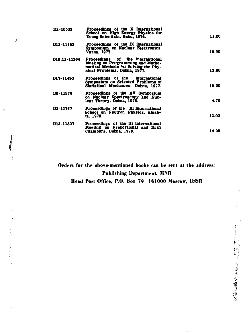| D2-10533     | Proceedings of the X International<br>School on High Energy Physics for<br>Young Scientists. Baku. 1976.                                      | 11.00 |
|--------------|-----------------------------------------------------------------------------------------------------------------------------------------------|-------|
| D13-11182    | Proceedings of the IX International<br>Symposium on Nuclear Electronics.<br>Varna, 1977.                                                      | 10.00 |
| D10.11-11264 | Proceedings of the International<br>Meeting on Programming and Mathe-<br>matical Methods for Solving the Phy-<br>sical Problems. Dubna, 1977. | 13.00 |
| D17-11490    | Proceedings of the International<br>Symposium on Selected Problems of<br>Statistical Mechanics. Dubna, 1977.                                  | 18.00 |
| D6-11574     | Proceedings of the XV Symposium<br>on Nuclear Spectroscopy and Nuc-<br>lear Theory. Dubaa, 1978.                                              | 4.70  |
| D3-11787     | Proceedings of the III International<br>School on Neutron Physics. Alush-<br>ta. 1978.                                                        | 12.00 |
| D13-11807    | Proceedings of the III International<br>Meeting on Proportional and Drift<br>Chambers. Dubna, 1978.                                           | 14.00 |

**Orders for the above-mentioned books ran be sent al the address: Publishing Department, JINR** 

**Head Post Office, P.O. Box 79 101000 Moerow, USSR** 

 $\overline{\phantom{a}}$ 

ł,

 $\overline{\phantom{a}}$ 

人名英格兰英爱尔兰